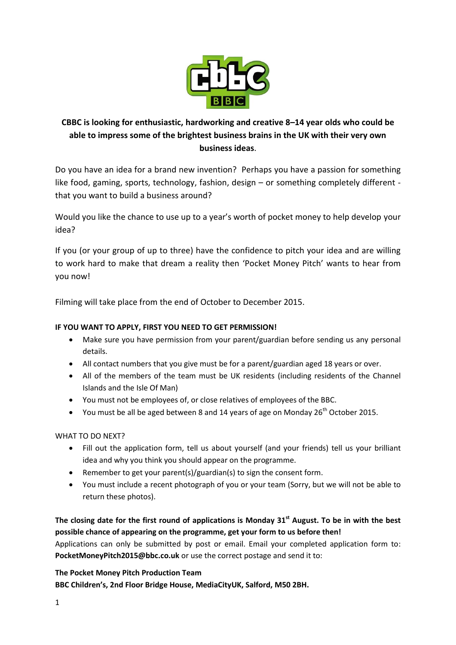

# **CBBC is looking for enthusiastic, hardworking and creative 8–14 year olds who could be able to impress some of the brightest business brains in the UK with their very own business ideas**.

Do you have an idea for a brand new invention? Perhaps you have a passion for something like food, gaming, sports, technology, fashion, design – or something completely different that you want to build a business around?

Would you like the chance to use up to a year's worth of pocket money to help develop your idea?

If you (or your group of up to three) have the confidence to pitch your idea and are willing to work hard to make that dream a reality then 'Pocket Money Pitch' wants to hear from you now!

Filming will take place from the end of October to December 2015.

# **IF YOU WANT TO APPLY, FIRST YOU NEED TO GET PERMISSION!**

- Make sure you have permission from your parent/guardian before sending us any personal details.
- All contact numbers that you give must be for a parent/guardian aged 18 years or over.
- All of the members of the team must be UK residents (including residents of the Channel Islands and the Isle Of Man)
- You must not be employees of, or close relatives of employees of the BBC.
- You must be all be aged between 8 and 14 years of age on Monday 26<sup>th</sup> October 2015.

# WHAT TO DO NEXT?

- Fill out the application form, tell us about yourself (and your friends) tell us your brilliant idea and why you think you should appear on the programme.
- **•** Remember to get your parent(s)/guardian(s) to sign the consent form.
- You must include a recent photograph of you or your team (Sorry, but we will not be able to return these photos).

# **The closing date for the first round of applications is Monday 31 st August. To be in with the best possible chance of appearing on the programme, get your form to us before then!**

Applications can only be submitted by post or email. Email your completed application form to: **PocketMoneyPitch2015@bbc.co.uk** or use the correct postage and send it to:

# **The Pocket Money Pitch Production Team**

**BBC Children's, 2nd Floor Bridge House, MediaCityUK, Salford, M50 2BH.**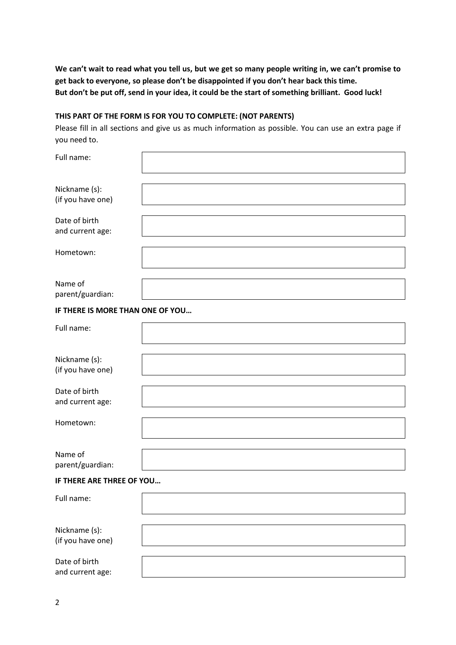**We can't wait to read what you tell us, but we get so many people writing in, we can't promise to get back to everyone, so please don't be disappointed if you don't hear back this time. But don't be put off, send in your idea, it could be the start of something brilliant. Good luck!**

### **THIS PART OF THE FORM IS FOR YOU TO COMPLETE: (NOT PARENTS)**

Please fill in all sections and give us as much information as possible. You can use an extra page if you need to.

| Full name:                         |  |
|------------------------------------|--|
| Nickname (s):<br>(if you have one) |  |
| Date of birth<br>and current age:  |  |
| Hometown:                          |  |
| Name of<br>parent/guardian:        |  |
| IF THERE IS MORE THAN ONE OF YOU   |  |
| Full name:                         |  |
| Nickname (s):<br>(if you have one) |  |
| Date of birth<br>and current age:  |  |
| Hometown:                          |  |
| Name of<br>parent/guardian:        |  |
| IF THERE ARE THREE OF YOU          |  |
| Full name:                         |  |
| Nickname (s):<br>(if you have one) |  |
| Date of birth<br>and current age:  |  |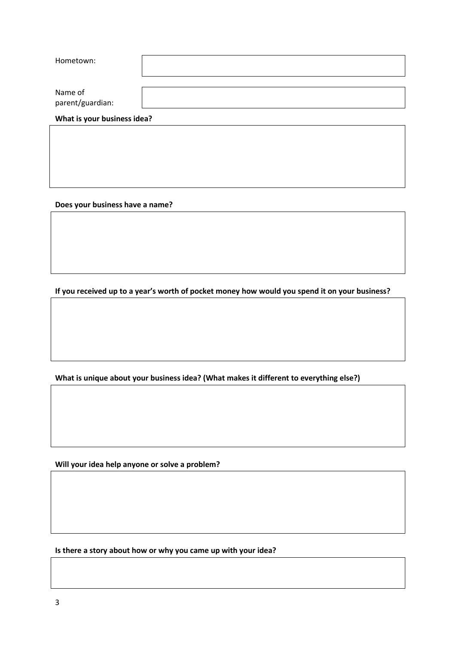| Hometown:                   |  |
|-----------------------------|--|
| Name of<br>parent/guardian: |  |
| What is your business idea? |  |

**Does your business have a name?**

**If you received up to a year's worth of pocket money how would you spend it on your business?** 

**What is unique about your business idea? (What makes it different to everything else?)**

**Will your idea help anyone or solve a problem?**

**Is there a story about how or why you came up with your idea?**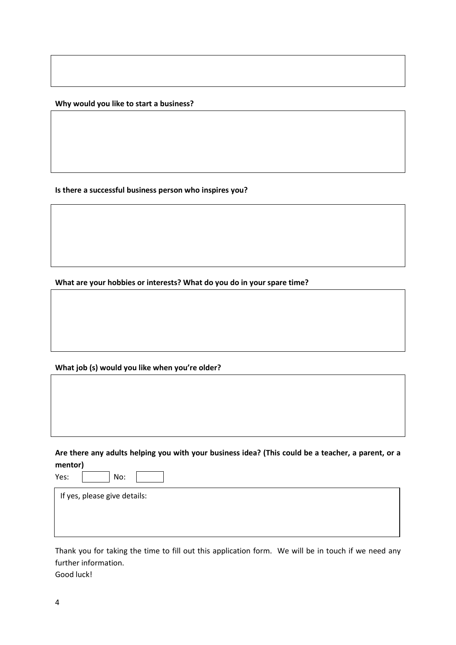**Why would you like to start a business?**

**Is there a successful business person who inspires you?**

**What are your hobbies or interests? What do you do in your spare time?** 

#### **What job (s) would you like when you're older?**

**Are there any adults helping you with your business idea? (This could be a teacher, a parent, or a mentor)**

Yes: No:

If yes, please give details:

Thank you for taking the time to fill out this application form. We will be in touch if we need any further information.

Good luck!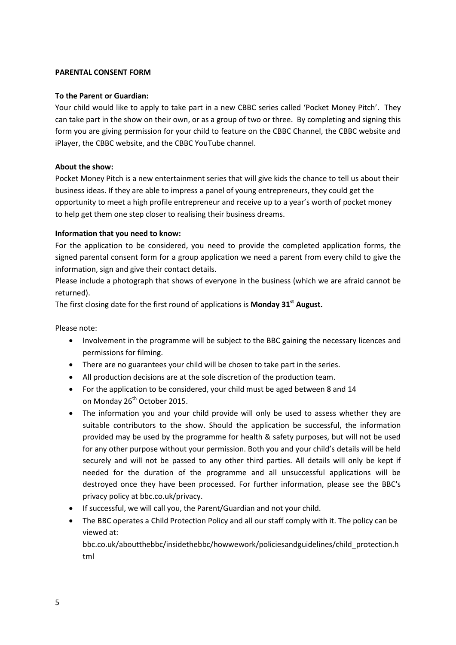#### **PARENTAL CONSENT FORM**

#### **To the Parent or Guardian:**

Your child would like to apply to take part in a new CBBC series called 'Pocket Money Pitch'. They can take part in the show on their own, or as a group of two or three. By completing and signing this form you are giving permission for your child to feature on the CBBC Channel, the CBBC website and iPlayer, the CBBC website, and the CBBC YouTube channel.

## **About the show:**

Pocket Money Pitch is a new entertainment series that will give kids the chance to tell us about their business ideas. If they are able to impress a panel of young entrepreneurs, they could get the opportunity to meet a high profile entrepreneur and receive up to a year's worth of pocket money to help get them one step closer to realising their business dreams.

### **Information that you need to know:**

For the application to be considered, you need to provide the completed application forms, the signed parental consent form for a group application we need a parent from every child to give the information, sign and give their contact details.

Please include a photograph that shows of everyone in the business (which we are afraid cannot be returned).

The first closing date for the first round of applications is **Monday 31st August.**

Please note:

- Involvement in the programme will be subject to the BBC gaining the necessary licences and permissions for filming.
- There are no guarantees your child will be chosen to take part in the series.
- All production decisions are at the sole discretion of the production team.
- For the application to be considered, your child must be aged between 8 and 14 on Monday 26<sup>th</sup> October 2015.
- The information you and your child provide will only be used to assess whether they are suitable contributors to the show. Should the application be successful, the information provided may be used by the programme for health & safety purposes, but will not be used for any other purpose without your permission. Both you and your child's details will be held securely and will not be passed to any other third parties. All details will only be kept if needed for the duration of the programme and all unsuccessful applications will be destroyed once they have been processed. For further information, please see the BBC's privacy policy at bbc.co.uk/privacy.
- If successful, we will call you, the Parent/Guardian and not your child.
- The BBC operates a Child Protection Policy and all our staff comply with it. The policy can be viewed at:

bbc.co.uk/aboutthebbc/insidethebbc/howwework/policiesandguidelines/child\_protection.h tml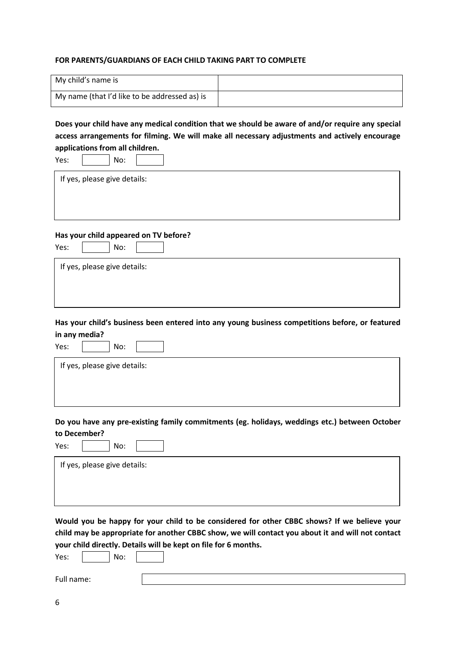#### **FOR PARENTS/GUARDIANS OF EACH CHILD TAKING PART TO COMPLETE**

| My child's name is                            |  |
|-----------------------------------------------|--|
| My name (that I'd like to be addressed as) is |  |

**Does your child have any medical condition that we should be aware of and/or require any special access arrangements for filming. We will make all necessary adjustments and actively encourage applications from all children.**

| Yes:<br>No:                                                                                       |
|---------------------------------------------------------------------------------------------------|
| If yes, please give details:                                                                      |
|                                                                                                   |
|                                                                                                   |
| Has your child appeared on TV before?                                                             |
| Yes:<br>No:                                                                                       |
| If yes, please give details:                                                                      |
|                                                                                                   |
|                                                                                                   |
| Has your child's business been entered into any young business competitions before, or featured   |
| in any media?                                                                                     |
| Yes:<br>No:                                                                                       |
| If yes, please give details:                                                                      |
|                                                                                                   |
|                                                                                                   |
| Do you have any pre-existing family commitments (eg. holidays, weddings etc.) between October     |
| to December?                                                                                      |
| Yes:<br>No:                                                                                       |
| If yes, please give details:                                                                      |
|                                                                                                   |
|                                                                                                   |
| Would you be happy for your child to be considered for other CBBC shows? If we believe your       |
| child may be appropriate for another CBBC show, we will contact you about it and will not contact |
| your child directly. Details will be kept on file for 6 months.                                   |
| No:<br>Yes:                                                                                       |

<u> 1989 - Johann Barn, mars ann an t-Amhain Aonaich an t-Aonaich an t-Aonaich ann an t-Aonaich an t-Aonaich ann </u>

Full name: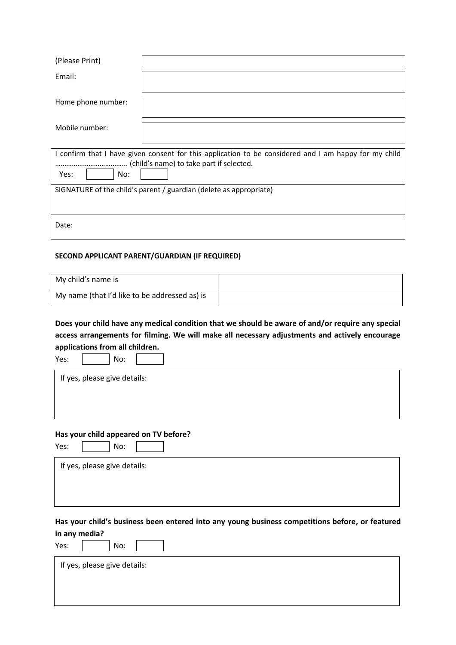| (Please Print)     |                                                                                                                                                   |
|--------------------|---------------------------------------------------------------------------------------------------------------------------------------------------|
| Email:             |                                                                                                                                                   |
| Home phone number: |                                                                                                                                                   |
| Mobile number:     |                                                                                                                                                   |
|                    | I confirm that I have given consent for this application to be considered and I am happy for my child<br>(child's name) to take part if selected. |
| Yes:<br>No:        |                                                                                                                                                   |
|                    | SIGNATURE of the child's parent / guardian (delete as appropriate)                                                                                |
| Date:              |                                                                                                                                                   |

#### **SECOND APPLICANT PARENT/GUARDIAN (IF REQUIRED)**

| My child's name is                            |  |
|-----------------------------------------------|--|
| My name (that I'd like to be addressed as) is |  |

**Does your child have any medical condition that we should be aware of and/or require any special access arrangements for filming. We will make all necessary adjustments and actively encourage applications from all children.**

Yes: No:

If yes, please give details:

#### **Has your child appeared on TV before?**

| Y۰<br>∘ |  |
|---------|--|
|         |  |

No:

If yes, please give details:

## **Has your child's business been entered into any young business competitions before, or featured in any media?**

Yes: No:

 $\overline{a}$ 

If yes, please give details: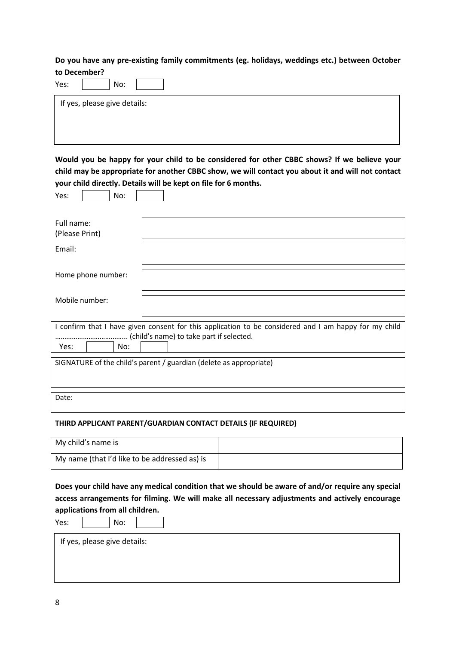**Do you have any pre-existing family commitments (eg. holidays, weddings etc.) between October to December?**

| Yes: |                              | No: |  |  |  |
|------|------------------------------|-----|--|--|--|
|      | If yes, please give details: |     |  |  |  |
|      |                              |     |  |  |  |

**Would you be happy for your child to be considered for other CBBC shows? If we believe your child may be appropriate for another CBBC show, we will contact you about it and will not contact your child directly. Details will be kept on file for 6 months.**

Yes:  $\vert$   $\vert$  No:  $\vert$ 

| Full name:                                                         |  |     |  |                                                                                                       |
|--------------------------------------------------------------------|--|-----|--|-------------------------------------------------------------------------------------------------------|
| (Please Print)                                                     |  |     |  |                                                                                                       |
|                                                                    |  |     |  |                                                                                                       |
| Email:                                                             |  |     |  |                                                                                                       |
|                                                                    |  |     |  |                                                                                                       |
|                                                                    |  |     |  |                                                                                                       |
| Home phone number:                                                 |  |     |  |                                                                                                       |
|                                                                    |  |     |  |                                                                                                       |
|                                                                    |  |     |  |                                                                                                       |
| Mobile number:                                                     |  |     |  |                                                                                                       |
|                                                                    |  |     |  |                                                                                                       |
|                                                                    |  |     |  |                                                                                                       |
|                                                                    |  |     |  | I confirm that I have given consent for this application to be considered and I am happy for my child |
|                                                                    |  |     |  | (child's name) to take part if selected.                                                              |
| Yes:                                                               |  | No: |  |                                                                                                       |
|                                                                    |  |     |  |                                                                                                       |
| SIGNATURE of the child's parent / guardian (delete as appropriate) |  |     |  |                                                                                                       |
|                                                                    |  |     |  |                                                                                                       |
|                                                                    |  |     |  |                                                                                                       |

Date:

## **THIRD APPLICANT PARENT/GUARDIAN CONTACT DETAILS (IF REQUIRED)**

| My child's name is                            |  |
|-----------------------------------------------|--|
| My name (that I'd like to be addressed as) is |  |

**Does your child have any medical condition that we should be aware of and/or require any special access arrangements for filming. We will make all necessary adjustments and actively encourage applications from all children.**

Yes: No:

**The Common** 

If yes, please give details: